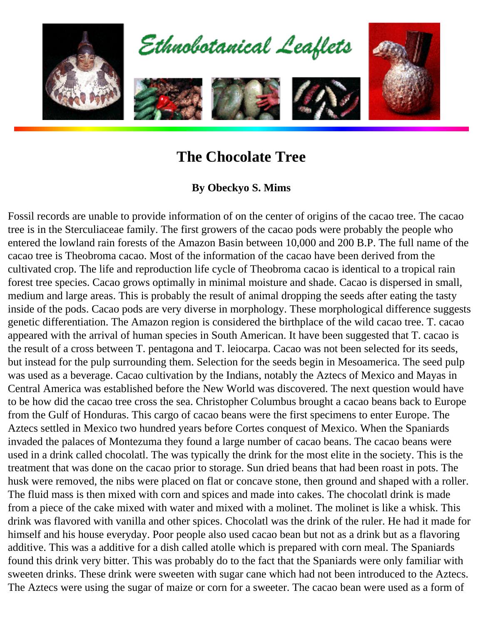

## **The Chocolate Tree**

## **By Obeckyo S. Mims**

Fossil records are unable to provide information of on the center of origins of the cacao tree. The cacao tree is in the Sterculiaceae family. The first growers of the cacao pods were probably the people who entered the lowland rain forests of the Amazon Basin between 10,000 and 200 B.P. The full name of the cacao tree is Theobroma cacao. Most of the information of the cacao have been derived from the cultivated crop. The life and reproduction life cycle of Theobroma cacao is identical to a tropical rain forest tree species. Cacao grows optimally in minimal moisture and shade. Cacao is dispersed in small, medium and large areas. This is probably the result of animal dropping the seeds after eating the tasty inside of the pods. Cacao pods are very diverse in morphology. These morphological difference suggests genetic differentiation. The Amazon region is considered the birthplace of the wild cacao tree. T. cacao appeared with the arrival of human species in South American. It have been suggested that T. cacao is the result of a cross between T. pentagona and T. leiocarpa. Cacao was not been selected for its seeds, but instead for the pulp surrounding them. Selection for the seeds begin in Mesoamerica. The seed pulp was used as a beverage. Cacao cultivation by the Indians, notably the Aztecs of Mexico and Mayas in Central America was established before the New World was discovered. The next question would have to be how did the cacao tree cross the sea. Christopher Columbus brought a cacao beans back to Europe from the Gulf of Honduras. This cargo of cacao beans were the first specimens to enter Europe. The Aztecs settled in Mexico two hundred years before Cortes conquest of Mexico. When the Spaniards invaded the palaces of Montezuma they found a large number of cacao beans. The cacao beans were used in a drink called chocolatl. The was typically the drink for the most elite in the society. This is the treatment that was done on the cacao prior to storage. Sun dried beans that had been roast in pots. The husk were removed, the nibs were placed on flat or concave stone, then ground and shaped with a roller. The fluid mass is then mixed with corn and spices and made into cakes. The chocolatl drink is made from a piece of the cake mixed with water and mixed with a molinet. The molinet is like a whisk. This drink was flavored with vanilla and other spices. Chocolatl was the drink of the ruler. He had it made for himself and his house everyday. Poor people also used cacao bean but not as a drink but as a flavoring additive. This was a additive for a dish called atolle which is prepared with corn meal. The Spaniards found this drink very bitter. This was probably do to the fact that the Spaniards were only familiar with sweeten drinks. These drink were sweeten with sugar cane which had not been introduced to the Aztecs. The Aztecs were using the sugar of maize or corn for a sweeter. The cacao bean were used as a form of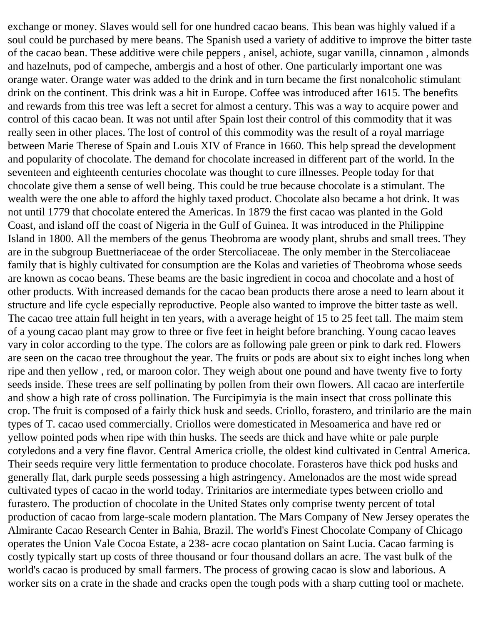exchange or money. Slaves would sell for one hundred cacao beans. This bean was highly valued if a soul could be purchased by mere beans. The Spanish used a variety of additive to improve the bitter taste of the cacao bean. These additive were chile peppers , anisel, achiote, sugar vanilla, cinnamon , almonds and hazelnuts, pod of campeche, ambergis and a host of other. One particularly important one was orange water. Orange water was added to the drink and in turn became the first nonalcoholic stimulant drink on the continent. This drink was a hit in Europe. Coffee was introduced after 1615. The benefits and rewards from this tree was left a secret for almost a century. This was a way to acquire power and control of this cacao bean. It was not until after Spain lost their control of this commodity that it was really seen in other places. The lost of control of this commodity was the result of a royal marriage between Marie Therese of Spain and Louis XIV of France in 1660. This help spread the development and popularity of chocolate. The demand for chocolate increased in different part of the world. In the seventeen and eighteenth centuries chocolate was thought to cure illnesses. People today for that chocolate give them a sense of well being. This could be true because chocolate is a stimulant. The wealth were the one able to afford the highly taxed product. Chocolate also became a hot drink. It was not until 1779 that chocolate entered the Americas. In 1879 the first cacao was planted in the Gold Coast, and island off the coast of Nigeria in the Gulf of Guinea. It was introduced in the Philippine Island in 1800. All the members of the genus Theobroma are woody plant, shrubs and small trees. They are in the subgroup Buettneriaceae of the order Stercoliaceae. The only member in the Stercoliaceae family that is highly cultivated for consumption are the Kolas and varieties of Theobroma whose seeds are known as cocao beans. These beams are the basic ingredient in cocoa and chocolate and a host of other products. With increased demands for the cacao bean products there arose a need to learn about it structure and life cycle especially reproductive. People also wanted to improve the bitter taste as well. The cacao tree attain full height in ten years, with a average height of 15 to 25 feet tall. The maim stem of a young cacao plant may grow to three or five feet in height before branching. Young cacao leaves vary in color according to the type. The colors are as following pale green or pink to dark red. Flowers are seen on the cacao tree throughout the year. The fruits or pods are about six to eight inches long when ripe and then yellow , red, or maroon color. They weigh about one pound and have twenty five to forty seeds inside. These trees are self pollinating by pollen from their own flowers. All cacao are interfertile and show a high rate of cross pollination. The Furcipimyia is the main insect that cross pollinate this crop. The fruit is composed of a fairly thick husk and seeds. Criollo, forastero, and trinilario are the main types of T. cacao used commercially. Criollos were domesticated in Mesoamerica and have red or yellow pointed pods when ripe with thin husks. The seeds are thick and have white or pale purple cotyledons and a very fine flavor. Central America criolle, the oldest kind cultivated in Central America. Their seeds require very little fermentation to produce chocolate. Forasteros have thick pod husks and generally flat, dark purple seeds possessing a high astringency. Amelonados are the most wide spread cultivated types of cacao in the world today. Trinitarios are intermediate types between criollo and furastero. The production of chocolate in the United States only comprise twenty percent of total production of cacao from large-scale modern plantation. The Mars Company of New Jersey operates the Almirante Cacao Research Center in Bahia, Brazil. The world's Finest Chocolate Company of Chicago operates the Union Vale Cocoa Estate, a 238- acre cocao plantation on Saint Lucia. Cacao farming is costly typically start up costs of three thousand or four thousand dollars an acre. The vast bulk of the world's cacao is produced by small farmers. The process of growing cacao is slow and laborious. A worker sits on a crate in the shade and cracks open the tough pods with a sharp cutting tool or machete.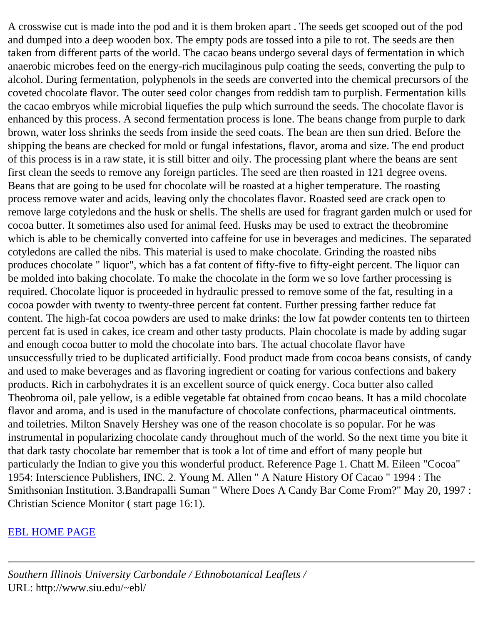A crosswise cut is made into the pod and it is them broken apart . The seeds get scooped out of the pod and dumped into a deep wooden box. The empty pods are tossed into a pile to rot. The seeds are then taken from different parts of the world. The cacao beans undergo several days of fermentation in which anaerobic microbes feed on the energy-rich mucilaginous pulp coating the seeds, converting the pulp to alcohol. During fermentation, polyphenols in the seeds are converted into the chemical precursors of the coveted chocolate flavor. The outer seed color changes from reddish tam to purplish. Fermentation kills the cacao embryos while microbial liquefies the pulp which surround the seeds. The chocolate flavor is enhanced by this process. A second fermentation process is lone. The beans change from purple to dark brown, water loss shrinks the seeds from inside the seed coats. The bean are then sun dried. Before the shipping the beans are checked for mold or fungal infestations, flavor, aroma and size. The end product of this process is in a raw state, it is still bitter and oily. The processing plant where the beans are sent first clean the seeds to remove any foreign particles. The seed are then roasted in 121 degree ovens. Beans that are going to be used for chocolate will be roasted at a higher temperature. The roasting process remove water and acids, leaving only the chocolates flavor. Roasted seed are crack open to remove large cotyledons and the husk or shells. The shells are used for fragrant garden mulch or used for cocoa butter. It sometimes also used for animal feed. Husks may be used to extract the theobromine which is able to be chemically converted into caffeine for use in beverages and medicines. The separated cotyledons are called the nibs. This material is used to make chocolate. Grinding the roasted nibs produces chocolate " liquor", which has a fat content of fifty-five to fifty-eight percent. The liquor can be molded into baking chocolate. To make the chocolate in the form we so love farther processing is required. Chocolate liquor is proceeded in hydraulic pressed to remove some of the fat, resulting in a cocoa powder with twenty to twenty-three percent fat content. Further pressing farther reduce fat content. The high-fat cocoa powders are used to make drinks: the low fat powder contents ten to thirteen percent fat is used in cakes, ice cream and other tasty products. Plain chocolate is made by adding sugar and enough cocoa butter to mold the chocolate into bars. The actual chocolate flavor have unsuccessfully tried to be duplicated artificially. Food product made from cocoa beans consists, of candy and used to make beverages and as flavoring ingredient or coating for various confections and bakery products. Rich in carbohydrates it is an excellent source of quick energy. Coca butter also called Theobroma oil, pale yellow, is a edible vegetable fat obtained from cocao beans. It has a mild chocolate flavor and aroma, and is used in the manufacture of chocolate confections, pharmaceutical ointments. and toiletries. Milton Snavely Hershey was one of the reason chocolate is so popular. For he was instrumental in popularizing chocolate candy throughout much of the world. So the next time you bite it that dark tasty chocolate bar remember that is took a lot of time and effort of many people but particularly the Indian to give you this wonderful product. Reference Page 1. Chatt M. Eileen "Cocoa" 1954: Interscience Publishers, INC. 2. Young M. Allen " A Nature History Of Cacao " 1994 : The Smithsonian Institution. 3.Bandrapalli Suman " Where Does A Candy Bar Come From?" May 20, 1997 : Christian Science Monitor ( start page 16:1).

## [EBL HOME PAGE](http://www.siu.edu/~ebl/)